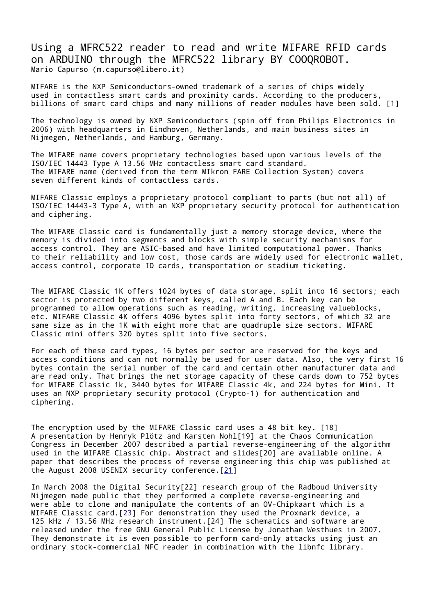Using a MFRC522 reader to read and write MIFARE RFID cards on ARDUINO through the MFRC522 library BY COOQROBOT. Mario Capurso (m.capurso@libero.it)

MIFARE is the NXP Semiconductors-owned trademark of a series of chips widely used in contactless smart cards and proximity cards. According to the producers, billions of smart card chips and many millions of reader modules have been sold. [1]

The technology is owned by NXP Semiconductors (spin off from Philips Electronics in 2006) with headquarters in Eindhoven, Netherlands, and main business sites in Nijmegen, Netherlands, and Hamburg, Germany.

The MIFARE name covers proprietary technologies based upon various levels of the ISO/IEC 14443 Type A 13.56 MHz contactless smart card standard. The MIFARE name (derived from the term MIkron FARE Collection System) covers seven different kinds of contactless cards.

MIFARE Classic employs a proprietary protocol compliant to parts (but not all) of ISO/IEC 14443-3 Type A, with an NXP proprietary security protocol for authentication and ciphering.

The MIFARE Classic card is fundamentally just a memory storage device, where the memory is divided into segments and blocks with simple security mechanisms for access control. They are ASIC-based and have limited computational power. Thanks to their reliability and low cost, those cards are widely used for electronic wallet, access control, corporate ID cards, transportation or stadium ticketing.

The MIFARE Classic 1K offers 1024 bytes of data storage, split into 16 sectors; each sector is protected by two different keys, called A and B. Each key can be programmed to allow operations such as reading, writing, increasing valueblocks, etc. MIFARE Classic 4K offers 4096 bytes split into forty sectors, of which 32 are same size as in the 1K with eight more that are quadruple size sectors. MIFARE Classic mini offers 320 bytes split into five sectors.

For each of these card types, 16 bytes per sector are reserved for the keys and access conditions and can not normally be used for user data. Also, the very first 16 bytes contain the serial number of the card and certain other manufacturer data and are read only. That brings the net storage capacity of these cards down to 752 bytes for MIFARE Classic 1k, 3440 bytes for MIFARE Classic 4k, and 224 bytes for Mini. It uses an NXP proprietary security protocol (Crypto-1) for authentication and ciphering.

The encryption used by the MIFARE Classic card uses a 48 bit key. [18] A presentation by Henryk Plötz and Karsten Nohl[19] at the Chaos Communication Congress in December 2007 described a partial reverse-engineering of the algorithm used in the MIFARE Classic chip. Abstract and slides[20] are available online. A paper that describes the process of reverse engineering this chip was published at the August 2008 USENIX security conference.[\[21\]](https://www.usenix.org/legacy/events/sec08/tech/full_papers/nohl/nohl.pdf)

In March 2008 the Digital Security[22] research group of the Radboud University Nijmegen made public that they performed a complete reverse-engineering and were able to clone and manipulate the contents of an OV-Chipkaart which is a MIFARE Classic card.  $[23]$  For demonstration they used the Proxmark device, a 125 kHz / 13.56 MHz research instrument.[24] The schematics and software are released under the free GNU General Public License by Jonathan Westhues in 2007. They demonstrate it is even possible to perform card-only attacks using just an ordinary stock-commercial NFC reader in combination with the libnfc library.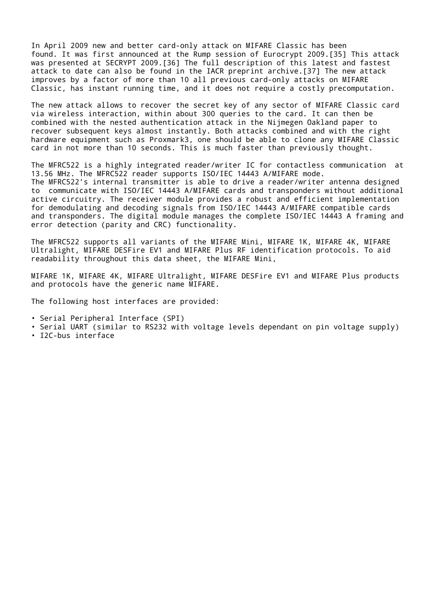In April 2009 new and better card-only attack on MIFARE Classic has been found. It was first announced at the Rump session of Eurocrypt 2009.[35] This attack was presented at SECRYPT 2009.[36] The full description of this latest and fastest attack to date can also be found in the IACR preprint archive.[37] The new attack improves by a factor of more than 10 all previous card-only attacks on MIFARE Classic, has instant running time, and it does not require a costly precomputation.

The new attack allows to recover the secret key of any sector of MIFARE Classic card via wireless interaction, within about 300 queries to the card. It can then be combined with the nested authentication attack in the Nijmegen Oakland paper to recover subsequent keys almost instantly. Both attacks combined and with the right hardware equipment such as Proxmark3, one should be able to clone any MIFARE Classic card in not more than 10 seconds. This is much faster than previously thought.

The MFRC522 is a highly integrated reader/writer IC for contactless communication at 13.56 MHz. The MFRC522 reader supports ISO/IEC 14443 A/MIFARE mode. The MFRC522's internal transmitter is able to drive a reader/writer antenna designed to communicate with ISO/IEC 14443 A/MIFARE cards and transponders without additional active circuitry. The receiver module provides a robust and efficient implementation for demodulating and decoding signals from ISO/IEC 14443 A/MIFARE compatible cards and transponders. The digital module manages the complete ISO/IEC 14443 A framing and error detection (parity and CRC) functionality.

The MFRC522 supports all variants of the MIFARE Mini, MIFARE 1K, MIFARE 4K, MIFARE Ultralight, MIFARE DESFire EV1 and MIFARE Plus RF identification protocols. To aid readability throughout this data sheet, the MIFARE Mini,

MIFARE 1K, MIFARE 4K, MIFARE Ultralight, MIFARE DESFire EV1 and MIFARE Plus products and protocols have the generic name MIFARE.

The following host interfaces are provided:

- Serial Peripheral Interface (SPI)
- Serial UART (similar to RS232 with voltage levels dependant on pin voltage supply)
- I2C-bus interface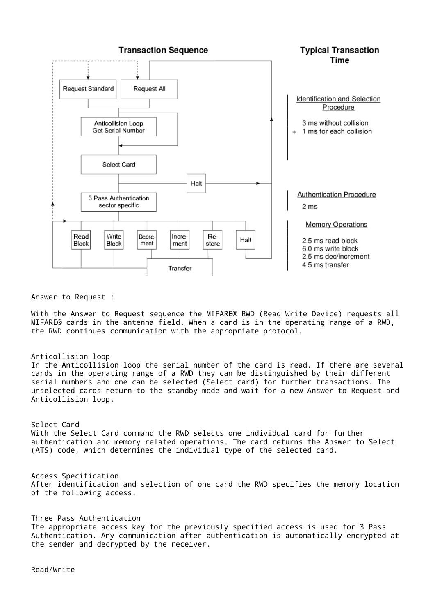

Answer to Request :

With the Answer to Request sequence the MIFARE® RWD (Read Write Device) requests all MIFARE® cards in the antenna field. When a card is in the operating range of a RWD, the RWD continues communication with the appropriate protocol.

#### Anticollision loop

In the Anticollision loop the serial number of the card is read. If there are several cards in the operating range of a RWD they can be distinguished by their different serial numbers and one can be selected (Select card) for further transactions. The unselected cards return to the standby mode and wait for a new Answer to Request and Anticollision loop.

#### Select Card With the Select Card command the RWD selects one individual card for further authentication and memory related operations. The card returns the Answer to Select (ATS) code, which determines the individual type of the selected card.

Access Specification After identification and selection of one card the RWD specifies the memory location of the following access.

Three Pass Authentication The appropriate access key for the previously specified access is used for 3 Pass Authentication. Any communication after authentication is automatically encrypted at the sender and decrypted by the receiver.

Read/Write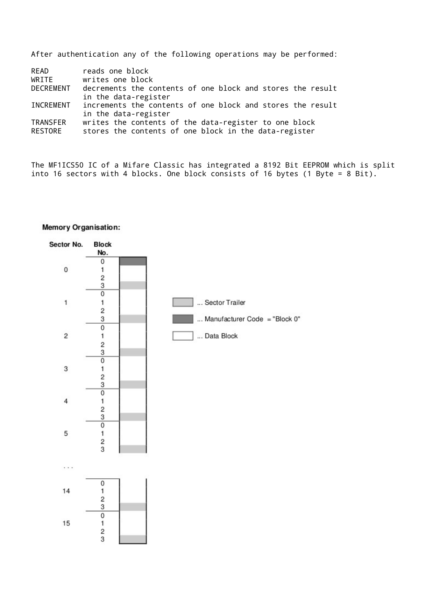|                            | After authentication any of the following operations may be performed:                                                    |
|----------------------------|---------------------------------------------------------------------------------------------------------------------------|
| READ<br>WRTTE<br>DECREMENT | reads one block<br>writes one block<br>decrements the contents of one block and stores the result<br>in the data-register |

| INCREMENT | increments the contents of one block and stores the result |
|-----------|------------------------------------------------------------|
|           | in the data-register                                       |
| TRANSFER  | writes the contents of the data-register to one block      |

RESTORE stores the contents of one block in the data-register

The MF1ICS50 IC of a Mifare Classic has integrated a 8192 Bit EEPROM which is split into 16 sectors with 4 blocks. One block consists of 16 bytes (1 Byte = 8 Bit).



#### Memory Organisation: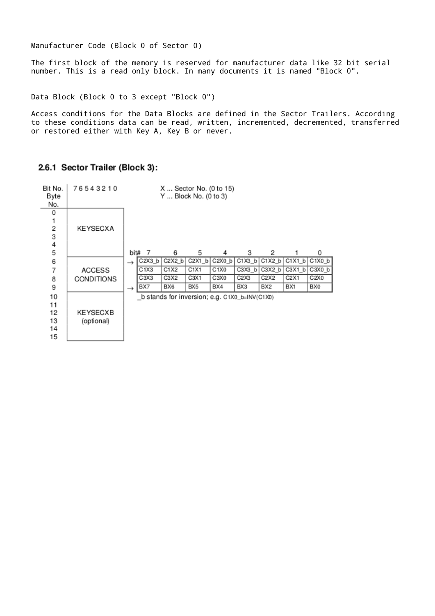Manufacturer Code (Block 0 of Sector 0)

The first block of the memory is reserved for manufacturer data like 32 bit serial number. This is a read only block. In many documents it is named "Block 0".

Data Block (Block 0 to 3 except "Block 0")

Access conditions for the Data Blocks are defined in the Sector Trailers. According to these conditions data can be read, written, incremented, decremented, transferred or restored either with Key A, Key B or never.



### 2.6.1 Sector Trailer (Block 3):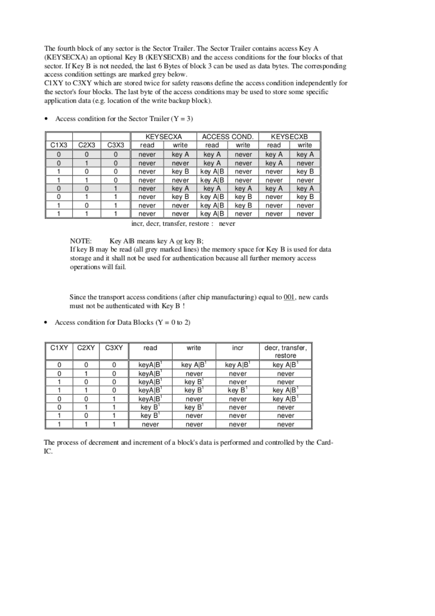The fourth block of any sector is the Sector Trailer. The Sector Trailer contains access Key A (KEYSECXA) an optional Key B (KEYSECXB) and the access conditions for the four blocks of that sector. If Key B is not needed, the last 6 Bytes of block 3 can be used as data bytes. The corresponding access condition settings are marked grey below.

CIXY to C3XY which are stored twice for safety reasons define the access condition independently for the sector's four blocks. The last byte of the access conditions may be used to store some specific application data (e.g. location of the write backup block).

|          |                               |      |       | KEYSECXA | ACCESS COND. |       | KEYSECXB |       |  |
|----------|-------------------------------|------|-------|----------|--------------|-------|----------|-------|--|
| C1X3     | C <sub>2</sub> X <sub>3</sub> | C3X3 | read  | write    | read         | write | read     | write |  |
| 0        | 0                             | 0    | never | key A    | key A        | never | key A    | key A |  |
| 0        |                               |      | never | never    | key A        | never | key A    | never |  |
|          | 0                             |      | never | key B    | key A B      | never | never    | key B |  |
|          |                               |      | never | never    | key A∣B      | never | never    | never |  |
| $\Omega$ | O                             |      | never | key A    | key A        | key A | key A    | key A |  |
| 0        |                               |      | never | key B    | key A B      | key B | never    | key B |  |
|          | 0                             |      | never | never    | key A B      | kev B | never    | never |  |
|          |                               |      | never | never    | key A B      | never | never    | never |  |

• Access condition for the Sector Trailer  $(Y = 3)$ 

incr, decr, transfer, restore : never

NOTE: Key AlB means key A or key B;

If key B may be read (all grey marked lines) the memory space for Key B is used for data storage and it shall not be used for authentication because all further memory access operations will fail.

Since the transport access conditions (after chip manufacturing) equal to 001, new cards must not be authenticated with Key B!

| C <sub>1</sub> XY | C <sub>2</sub> XY | C3XY | read                | write                | incr                     | decr, transfer,<br>restore |
|-------------------|-------------------|------|---------------------|----------------------|--------------------------|----------------------------|
| 0                 | 0                 | 0    | keyA B <sup>1</sup> | key A B <sup>1</sup> | $key$ $A B$ <sup>1</sup> | key A <sub>B</sub>         |
| 0                 |                   | 0    | keyA B              | never                | never                    | never                      |
|                   | 0                 | 0    | keyA B <sup>1</sup> | key B <sup>1</sup>   | never                    | never                      |
|                   |                   | 0    | keyA B <sup>1</sup> | key B <sup>1</sup>   | key B                    | key A B                    |
| 0                 | 0                 |      | keyA B <sup>1</sup> | never                | never                    | key A B                    |
| 0                 |                   |      | key B <sup>1</sup>  | key B <sup>1</sup>   | never                    | never                      |
|                   | 0                 |      | key B'              | never                | never                    | never                      |
|                   |                   |      | never               | never                | never                    | never                      |

Access condition for Data Blocks ( $Y = 0$  to 2)

The process of decrement and increment of a block's data is performed and controlled by the Card-IC.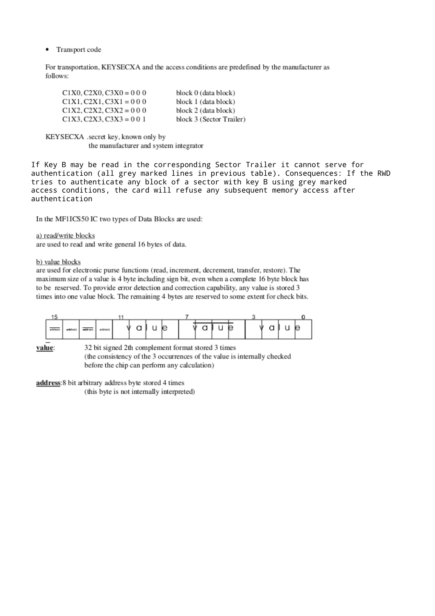Transport code  $\bullet$ 

For transportation, KEYSECXA and the access conditions are predefined by the manufacturer as follows:

| $C1X0, C2X0, C3X0 = 000$ | block 0 (data block)     |
|--------------------------|--------------------------|
| $C1X1, C2X1, C3X1 = 000$ | block 1 (data block)     |
| $C1X2, C2X2, C3X2 = 000$ | block 2 (data block)     |
| $C1X3, C2X3, C3X3 = 001$ | block 3 (Sector Trailer) |

KEYSECXA .secret key, known only by the manufacturer and system integrator

If Key B may be read in the corresponding Sector Trailer it cannot serve for authentication (all grey marked lines in previous table). Consequences: If the RWD tries to authenticate any block of a sector with key B using grey marked access conditions, the card will refuse any subsequent memory access after authentication

In the MFIICS50 IC two types of Data Blocks are used:

#### a) read/write blocks

are used to read and write general 16 bytes of data.

b) value blocks

are used for electronic purse functions (read, increment, decrement, transfer, restore). The maximum size of a value is 4 byte including sign bit, even when a complete 16 byte block has to be reserved. To provide error detection and correction capability, any value is stored 3 times into one value block. The remaining 4 bytes are reserved to some extent for check bits.



value:

32 bit signed 2th complement format stored 3 times (the consistency of the 3 occurrences of the value is internally checked before the chip can perform any calculation)

address: 8 bit arbitrary address byte stored 4 times (this byte is not internally interpreted)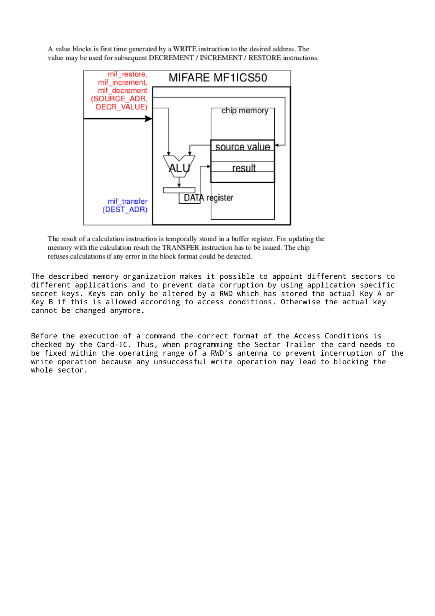A value blocks is first time generated by a WRITE instruction to the desired address. The value may be used for subsequent DECREMENT / INCREMENT / RESTORE instructions.



The result of a calculation instruction is temporally stored in a buffer register. For updating the memory with the calculation result the TRANSFER instruction has to be issued. The chip refuses calculations if any error in the block format could be detected.

The described memory organization makes it possible to appoint different sectors to different applications and to prevent data corruption by using application specific secret keys. Keys can only be altered by a RWD which has stored the actual Key A or Key B if this is allowed according to access conditions. Otherwise the actual key cannot be changed anymore.

Before the execution of a command the correct format of the Access Conditions is checked by the Card-IC. Thus, when programming the Sector Trailer the card needs to be fixed within the operating range of a RWD's antenna to prevent interruption of the write operation because any unsuccessful write operation may lead to blocking the whole sector.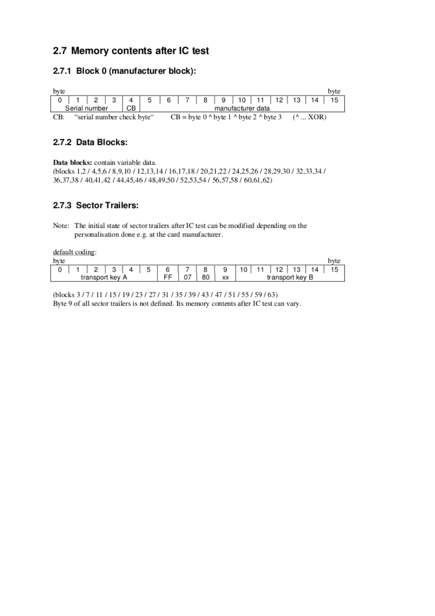# 2.7 Memory contents after IC test

### 2.7.1 Block 0 (manufacturer block):

| byte |                            |    |  |  |  |                                          |  |                   | byte                                  |
|------|----------------------------|----|--|--|--|------------------------------------------|--|-------------------|---------------------------------------|
|      |                            |    |  |  |  |                                          |  |                   | 0 1 2 3 4 5 6 7 8 9 10 11 12 13 14 15 |
|      | Serial number              | CВ |  |  |  | manufacturer data                        |  |                   |                                       |
| CB:  | "serial number check byte" |    |  |  |  | $CB = byte 0$ ^ byte 1 ^ byte 2 ^ byte 3 |  | $(^{\wedge}$ XOR) |                                       |

### 2.7.2 Data Blocks:

Data blocks: contain variable data.

(blocks 1,2 / 4,5,6 / 8,9,10 / 12,13,14 / 16,17,18 / 20,21,22 / 24,25,26 / 28,29,30 / 32,33,34 / 36, 37, 38 / 40, 41, 42 / 44, 45, 46 / 48, 49, 50 / 52, 53, 54 / 56, 57, 58 / 60, 61, 62)

## 2.7.3 Sector Trailers:

Note: The initial state of sector trailers after IC test can be modified depending on the personalisation done e.g. at the card manufacturer.

default coding:

| byte |                 |  |  |    |    |    |    |    |    |                 |    | byte |
|------|-----------------|--|--|----|----|----|----|----|----|-----------------|----|------|
|      |                 |  |  | -  | R  |    | 10 | 11 | 12 | 13              | 14 |      |
|      | transport key A |  |  | 07 | 80 | XX |    |    |    | transport key B |    |      |

(blocks 3/7/11/15/19/23/27/31/35/39/43/47/51/55/59/63) Byte 9 of all sector trailers is not defined. Its memory contents after IC test can vary.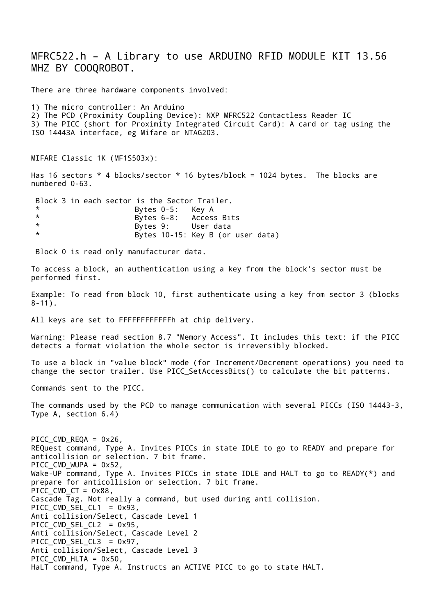MFRC522.h – A Library to use ARDUINO RFID MODULE KIT 13.56 MHZ BY COOQROBOT. There are three hardware components involved: 1) The micro controller: An Arduino

2) The PCD (Proximity Coupling Device): NXP MFRC522 Contactless Reader IC 3) The PICC (short for Proximity Integrated Circuit Card): A card or tag using the ISO 14443A interface, eg Mifare or NTAG203.

MIFARE Classic 1K (MF1S503x):

Has 16 sectors \* 4 blocks/sector \* 16 bytes/block = 1024 bytes. The blocks are numbered 0-63.

Block 3 in each sector is the Sector Trailer. \* Bytes 0-5: Key A Bytes 6-8: Access Bits \* Bytes 9: User data \* Bytes 10-15: Key B (or user data)

Block 0 is read only manufacturer data.

To access a block, an authentication using a key from the block's sector must be performed first.

Example: To read from block 10, first authenticate using a key from sector 3 (blocks  $8 - 11$ .

All keys are set to FFFFFFFFFFFFh at chip delivery.

Warning: Please read section 8.7 "Memory Access". It includes this text: if the PICC detects a format violation the whole sector is irreversibly blocked.

To use a block in "value block" mode (for Increment/Decrement operations) you need to change the sector trailer. Use PICC\_SetAccessBits() to calculate the bit patterns.

Commands sent to the PICC.

The commands used by the PCD to manage communication with several PICCs (ISO 14443-3, Type A, section 6.4)

PICC CMD REQA =  $0x26$ , REQuest command, Type A. Invites PICCs in state IDLE to go to READY and prepare for anticollision or selection. 7 bit frame. PICC CMD WUPA =  $0x52$ , Wake-UP command, Type A. Invites PICCs in state IDLE and HALT to go to READY(\*) and prepare for anticollision or selection. 7 bit frame. PICC CMD CT =  $0x88$ , Cascade Tag. Not really a command, but used during anti collision. PICC\_CMD\_SEL\_CL1 = 0x93, Anti collision/Select, Cascade Level 1 PICC CMD SEL CL2 =  $0x95$ , Anti collision/Select, Cascade Level 2 PICC CMD SEL CL3 = 0x97, Anti collision/Select, Cascade Level 3 PICC\_CMD\_HLTA = 0x50, HaLT command, Type A. Instructs an ACTIVE PICC to go to state HALT.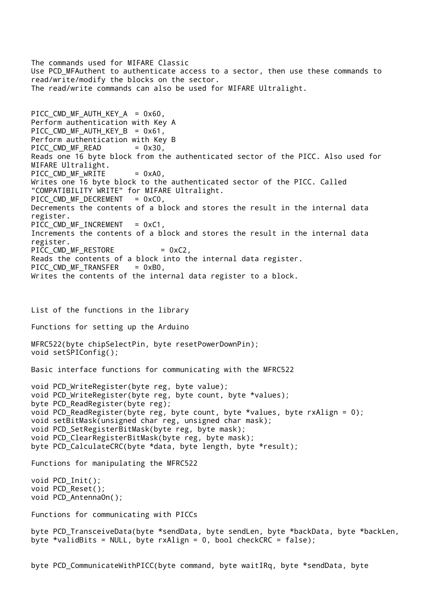The commands used for MIFARE Classic Use PCD MFAuthent to authenticate access to a sector, then use these commands to read/write/modify the blocks on the sector. The read/write commands can also be used for MIFARE Ultralight. PICC CMD MF AUTH KEY  $A = 0x60$ , Perform authentication with Key A PICC CMD MF AUTH KEY B =  $0x61$ , Perform authentication with Key B PICC\_CMD\_MF\_READ = 0x30, Reads one 16 byte block from the authenticated sector of the PICC. Also used for MIFARE Ultralight. PICC CMD MF WRITE  $= 0xA0$ , Writes one 16 byte block to the authenticated sector of the PICC. Called "COMPATIBILITY WRITE" for MIFARE Ultralight. PICC\_CMD\_MF\_DECREMENT = 0xC0, Decrements the contents of a block and stores the result in the internal data register. PICC CMD MF INCREMENT =  $0 \times C1$ , Increments the contents of a block and stores the result in the internal data register. PICC\_CMD\_MF\_RESTORE = 0xC2, Reads the contents of a block into the internal data register. PICC\_CMD\_MF\_TRANSFER = 0xB0, Writes the contents of the internal data register to a block. List of the functions in the library Functions for setting up the Arduino MFRC522(byte chipSelectPin, byte resetPowerDownPin); void setSPIConfig(); Basic interface functions for communicating with the MFRC522 void PCD\_WriteRegister(byte reg, byte value); void PCD\_WriteRegister(byte reg, byte count, byte \*values); byte PCD\_ReadRegister(byte reg); void PCD\_ReadRegister(byte reg, byte count, byte \*values, byte rxAlign = 0); void setBitMask(unsigned char reg, unsigned char mask); void PCD\_SetRegisterBitMask(byte reg, byte mask); void PCD\_ClearRegisterBitMask(byte reg, byte mask); byte PCD CalculateCRC(byte \*data, byte length, byte \*result); Functions for manipulating the MFRC522 void PCD\_Init(); void PCD\_Reset(); void PCD\_AntennaOn(); Functions for communicating with PICCs byte PCD\_TransceiveData(byte \*sendData, byte sendLen, byte \*backData, byte \*backLen, byte \*validBits = NULL, byte  $rx$ Align = 0, bool checkCRC =  $false$ );

byte PCD\_CommunicateWithPICC(byte command, byte waitIRq, byte \*sendData, byte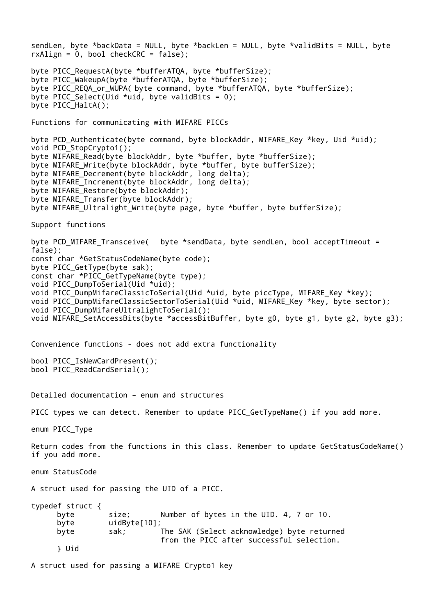sendLen, byte \*backData = NULL, byte \*backLen = NULL, byte \*validBits = NULL, byte  $rxAlign = 0$ , bool checkCRC = false); byte PICC\_RequestA(byte \*bufferATQA, byte \*bufferSize); byte PICC\_WakeupA(byte \*bufferATQA, byte \*bufferSize); byte PICC\_REQA\_or\_WUPA( byte command, byte \*bufferATQA, byte \*bufferSize); byte PICC Select(Uid \*uid, byte validBits = 0); byte PICC\_HaltA(); Functions for communicating with MIFARE PICCs byte PCD\_Authenticate(byte command, byte blockAddr, MIFARE\_Key \*key, Uid \*uid); void PCD\_StopCrypto1(); byte MIFARE\_Read(byte blockAddr, byte \*buffer, byte \*bufferSize); byte MIFARE\_Write(byte blockAddr, byte \*buffer, byte bufferSize); byte MIFARE\_Decrement(byte blockAddr, long delta); byte MIFARE Increment(byte blockAddr, long delta); byte MIFARE Restore(byte blockAddr): byte MIFARE\_Transfer(byte blockAddr); byte MIFARE\_Ultralight\_Write(byte page, byte \*buffer, byte bufferSize); Support functions byte PCD\_MIFARE\_Transceive( byte \*sendData, byte sendLen, bool acceptTimeout = false); const char \*GetStatusCodeName(byte code); byte PICC\_GetType(byte sak); const char \*PICC\_GetTypeName(byte type); void PICC\_DumpToSerial(Uid \*uid); void PICC DumpMifareClassicToSerial(Uid \*uid, byte piccType, MIFARE Key \*key); void PICC DumpMifareClassicSectorToSerial(Uid \*uid, MIFARE Key \*key, byte sector); void PICC\_DumpMifareUltralightToSerial(); void MIFARE SetAccessBits(byte \*accessBitBuffer, byte g0, byte g1, byte g2, byte g3); Convenience functions - does not add extra functionality bool PICC\_IsNewCardPresent(); bool PICC\_ReadCardSerial(); Detailed documentation – enum and structures PICC types we can detect. Remember to update PICC GetTypeName() if you add more. enum PICC\_Type Return codes from the functions in this class. Remember to update GetStatusCodeName() if you add more. enum StatusCode A struct used for passing the UID of a PICC. typedef struct { byte size; Number of bytes in the UID. 4, 7 or 10. byte uidByte[10]; byte sak; The SAK (Select acknowledge) byte returned from the PICC after successful selection. } Uid

A struct used for passing a MIFARE Crypto1 key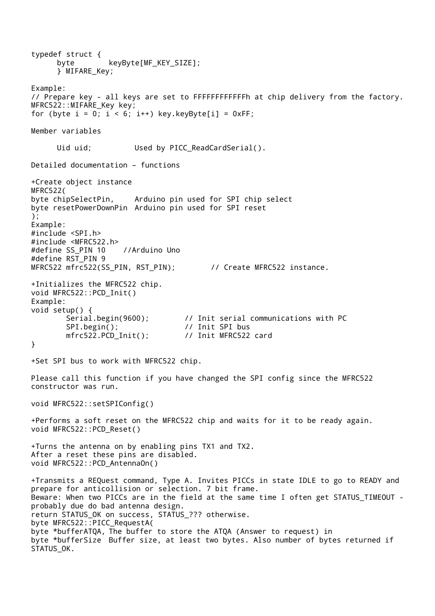typedef struct { byte keyByte[MF\_KEY\_SIZE]; } MIFARE\_Key; Example: // Prepare key - all keys are set to FFFFFFFFFFFFh at chip delivery from the factory. MFRC522::MIFARE\_Key key; for (byte  $i = 0$ ;  $i < 6$ ;  $i^{++}$ ) key.keyByte[i] = 0xFF; Member variables Uid uid; **Used by PICC\_ReadCardSerial()**. Detailed documentation – functions +Create object instance MFRC522( byte chipSelectPin, Arduino pin used for SPI chip select byte resetPowerDownPin Arduino pin used for SPI reset ); Example: #include <SPI.h> #include <MFRC522.h> #define SS\_PIN 10 //Arduino Uno #define RST\_PIN 9 MFRC522 mfrc522(SS\_PIN, RST\_PIN); // Create MFRC522 instance. +Initializes the MFRC522 chip. void MFRC522::PCD\_Init() Example: void setup() { Serial.begin(9600);  $\frac{1}{1}$  Init serial communications with PC SPI.begin();  $\frac{1}{2}$  // Init SPI bus<br>mfrc522.PCD Init(): // Init MFRC522 card  $mfrc522.PCD_Init()$ ; } +Set SPI bus to work with MFRC522 chip. Please call this function if you have changed the SPI config since the MFRC522 constructor was run. void MFRC522::setSPIConfig() +Performs a soft reset on the MFRC522 chip and waits for it to be ready again. void MFRC522::PCD\_Reset() +Turns the antenna on by enabling pins TX1 and TX2. After a reset these pins are disabled. void MFRC522::PCD\_AntennaOn() +Transmits a REQuest command, Type A. Invites PICCs in state IDLE to go to READY and prepare for anticollision or selection. 7 bit frame. Beware: When two PICCs are in the field at the same time I often get STATUS\_TIMEOUT probably due do bad antenna design. return STATUS\_OK on success, STATUS\_??? otherwise. byte MFRC522::PICC\_RequestA( byte \*bufferATQA, The buffer to store the ATQA (Answer to request) in byte \*bufferSize Buffer size, at least two bytes. Also number of bytes returned if STATUS OK.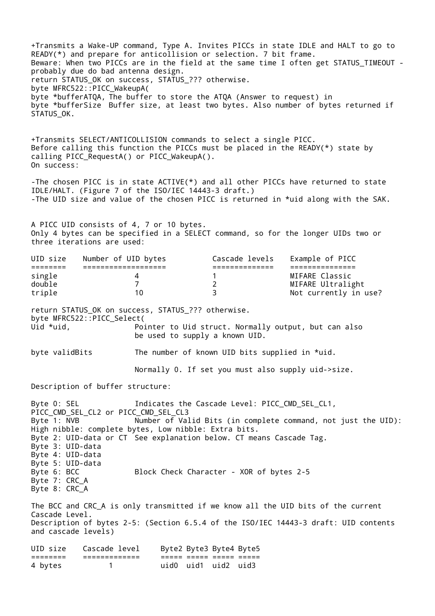+Transmits a Wake-UP command, Type A. Invites PICCs in state IDLE and HALT to go to READY(\*) and prepare for anticollision or selection. 7 bit frame. Beware: When two PICCs are in the field at the same time I often get STATUS\_TIMEOUT probably due do bad antenna design. return STATUS\_OK on success, STATUS\_??? otherwise. byte MFRC522::PICC\_WakeupA( byte \*bufferATQA, The buffer to store the ATQA (Answer to request) in byte \*bufferSize Buffer size, at least two bytes. Also number of bytes returned if STATUS OK.

+Transmits SELECT/ANTICOLLISION commands to select a single PICC. Before calling this function the PICCs must be placed in the READY(\*) state by calling PICC\_RequestA() or PICC\_WakeupA(). On success:

-The chosen PICC is in state ACTIVE(\*) and all other PICCs have returned to state IDLE/HALT. (Figure 7 of the ISO/IEC 14443-3 draft.) -The UID size and value of the chosen PICC is returned in \*uid along with the SAK.

A PICC UID consists of 4, 7 or 10 bytes. Only 4 bytes can be specified in a SELECT command, so for the longer UIDs two or three iterations are used:

| Example of PICC<br>Number of UID bytes<br>Cascade levels<br>UID size |                       |
|----------------------------------------------------------------------|-----------------------|
|                                                                      |                       |
| MIFARE Classic<br>single                                             |                       |
| double                                                               | MIFARE Ultralight     |
| triple<br>10.                                                        | Not currently in use? |

return STATUS OK on success, STATUS ??? otherwise. byte MFRC522::PICC\_Select( Uid \*uid, The Pointer to Uid struct. Normally output, but can also be used to supply a known UID.

byte validBits The number of known UID bits supplied in \*uid.

Normally 0. If set you must also supply uid->size.

Description of buffer structure:

Byte 0: SEL The Indicates the Cascade Level: PICC\_CMD\_SEL\_CL1, PICC CMD SEL CL2 or PICC CMD SEL CL3 Byte 1: NVB **Number of Valid Bits (in complete command, not just the UID)**: High nibble: complete bytes, Low nibble: Extra bits. Byte 2: UID-data or CT See explanation below. CT means Cascade Tag. Byte 3: UID-data Byte 4: UID-data Byte 5: UID-data Block Check Character - XOR of bytes 2-5 Byte 7: CRC\_A Byte 8: CRC\_A The BCC and CRC\_A is only transmitted if we know all the UID bits of the current Cascade Level. Description of bytes 2-5: (Section 6.5.4 of the ISO/IEC 14443-3 draft: UID contents and cascade levels) UID size Cascade level Byte2 Byte3 Byte4 Byte5 ======== ============= ===== ===== ===== ===== 4 bytes 1 uid0 uid1 uid2 uid3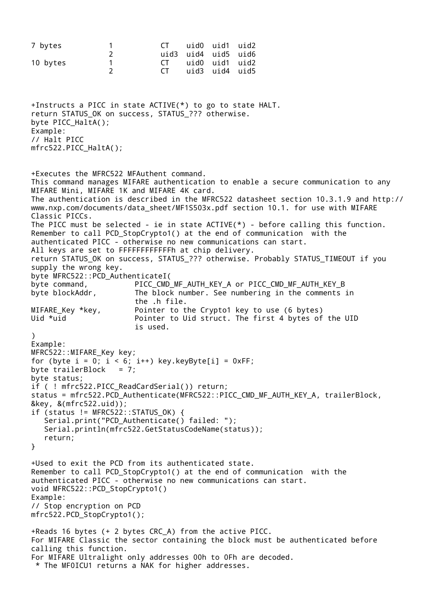```
7 bytes 1 CT uid0 uid1 uid2
                 2 uid3 uid4 uid5 uid6
10 bytes 1 CT uid0 uid1 uid2
                 2 CT uid3 uid4 uid5
+Instructs a PICC in state ACTIVE(*) to go to state HALT.
return STATUS OK on success, STATUS ??? otherwise.
byte PICC_HaltA();
Example:
// Halt PICC
mfrc522.PICC_HaltA();
+Executes the MFRC522 MFAuthent command.
This command manages MIFARE authentication to enable a secure communication to any 
MIFARE Mini, MIFARE 1K and MIFARE 4K card.
The authentication is described in the MFRC522 datasheet section 10.3.1.9 and http://
www.nxp.com/documents/data_sheet/MF1S503x.pdf section 10.1. for use with MIFARE 
Classic PICCs.
The PICC must be selected - ie in state ACTIVE(*) - before calling this function.
Remember to call PCD_StopCrypto1() at the end of communication with the 
authenticated PICC - otherwise no new communications can start.
All keys are set to FFFFFFFFFFFFh at chip delivery.
return STATUS_OK on success, STATUS_??? otherwise. Probably STATUS_TIMEOUT if you 
supply the wrong key.
byte MFRC522::PCD_AuthenticateI(
byte command, PICC_CMD_MF_AUTH_KEY_A or PICC_CMD_MF_AUTH_KEY_B
byte blockAddr, The block number. See numbering in the comments in
                      the .h file.
MIFARE Key *key, Pointer to the Crypto1 key to use (6 bytes)
Uid *uid Pointer to Uid struct. The first 4 bytes of the UID
                      is used.
\lambdaExample:
MFRC522::MIFARE_Key key;
for (byte i = 0; i < 6; i++) key.keyByte[i] = 0xFF;
byte trailerBlock = 7;
byte status;
if ( ! mfrc522.PICC_ReadCardSerial()) return;
status = mfrc522.PCD_Authenticate(MFRC522::PICC_CMD_MF_AUTH_KEY_A, trailerBlock, 
&key, &(mfrc522.uid));
if (status != MFRC522::STATUS OK) {
   Serial.print("PCD Authenticate() failed: ");
    Serial.println(mfrc522.GetStatusCodeName(status));
    return;
}
+Used to exit the PCD from its authenticated state.
Remember to call PCD_StopCrypto1() at the end of communication with the 
authenticated PICC - otherwise no new communications can start.
void MFRC522::PCD_StopCrypto1() 
Example:
// Stop encryption on PCD
mfrc522.PCD_StopCrypto1();
+Reads 16 bytes (+ 2 bytes CRC_A) from the active PICC.
For MIFARE Classic the sector containing the block must be authenticated before 
calling this function.
For MIFARE Ultralight only addresses 00h to 0Fh are decoded.
* The MF0ICU1 returns a NAK for higher addresses.
```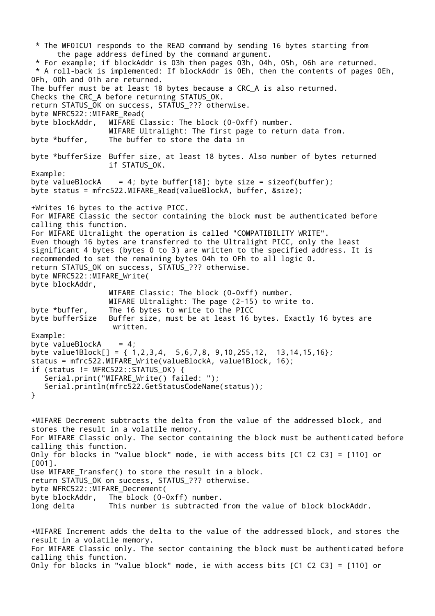\* The MF0ICU1 responds to the READ command by sending 16 bytes starting from the page address defined by the command argument. \* For example; if blockAddr is 03h then pages 03h, 04h, 05h, 06h are returned. \* A roll-back is implemented: If blockAddr is 0Eh, then the contents of pages 0Eh, 0Fh, 00h and 01h are returned. The buffer must be at least 18 bytes because a CRC\_A is also returned. Checks the CRC\_A before returning STATUS\_OK. return STATUS\_OK on success, STATUS\_??? otherwise. byte MFRC522::MIFARE\_Read( byte blockAddr, MIFARE Classic: The block (0-0xff) number. MIFARE Ultralight: The first page to return data from. byte \*buffer, The buffer to store the data in byte \*bufferSize Buffer size, at least 18 bytes. Also number of bytes returned if STATUS\_OK. Example: byte valueBlockA = 4; byte buffer[18]; byte size = sizeof(buffer); byte status = mfrc522.MIFARE\_Read(valueBlockA, buffer, &size); +Writes 16 bytes to the active PICC. For MIFARE Classic the sector containing the block must be authenticated before calling this function. For MIFARE Ultralight the operation is called "COMPATIBILITY WRITE". Even though 16 bytes are transferred to the Ultralight PICC, only the least significant 4 bytes (bytes 0 to 3) are written to the specified address. It is recommended to set the remaining bytes 04h to 0Fh to all logic 0. return STATUS\_OK on success, STATUS\_??? otherwise. byte MFRC522::MIFARE\_Write( byte blockAddr, MIFARE Classic: The block (0-0xff) number. MIFARE Ultralight: The page (2-15) to write to. byte \*buffer, The 16 bytes to write to the PICC byte bufferSize Buffer size, must be at least 16 bytes. Exactly 16 bytes are written. Example: byte valueBlockA  $= 4$ ; byte value1Block[] =  $\{ 1, 2, 3, 4, 5, 6, 7, 8, 9, 10, 255, 12, 13, 14, 15, 16 \}$ ; status = mfrc522.MIFARE\_Write(valueBlockA, value1Block, 16); if (status != MFRC522::STATUS\_OK) { Serial.print("MIFARE\_Write() failed: "); Serial.println(mfrc522.GetStatusCodeName(status)); } +MIFARE Decrement subtracts the delta from the value of the addressed block, and stores the result in a volatile memory. For MIFARE Classic only. The sector containing the block must be authenticated before calling this function. Only for blocks in "value block" mode, ie with access bits [C1 C2 C3] = [110] or [001]. Use MIFARE\_Transfer() to store the result in a block. return STATUS\_OK on success, STATUS\_??? otherwise. byte MFRC522::MIFARE\_Decrement( byte blockAddr, The block (0-0xff) number. long delta This number is subtracted from the value of block blockAddr. +MIFARE Increment adds the delta to the value of the addressed block, and stores the result in a volatile memory. For MIFARE Classic only. The sector containing the block must be authenticated before calling this function.

Only for blocks in "value block" mode, ie with access bits [C1 C2 C3] = [110] or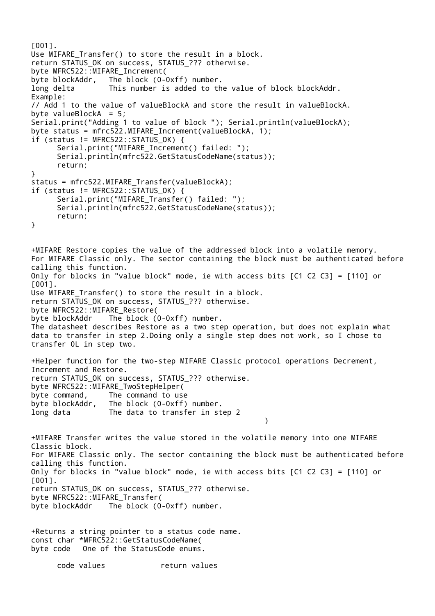```
[001].
Use MIFARE Transfer() to store the result in a block.
return STATUS_OK on success, STATUS_??? otherwise.
byte MFRC522::MIFARE_Increment(
byte blockAddr, The block (0-0xff) number.
long delta This number is added to the value of block blockAddr.
Example:
// Add 1 to the value of valueBlockA and store the result in valueBlockA.
byte valueBlockA = 5;
Serial.print("Adding 1 to value of block "); Serial.println(valueBlockA);
byte status = mfrc522.MIFARE Increment(valueBlockA, 1);
if (status != MFRC522::STATUS_OK) {
      Serial.print("MIFARE_Increment() failed: ");
      Serial.println(mfrc522.GetStatusCodeName(status));
      return;
}
status = mfrc522.MIFARE Transfer(valueBlockA);
if (status != MFRC522::STATUS OK) {
      Serial.print("MIFARE_Transfer() failed: ");
      Serial.println(mfrc522.GetStatusCodeName(status));
      return;
}
+MIFARE Restore copies the value of the addressed block into a volatile memory.
For MIFARE Classic only. The sector containing the block must be authenticated before
calling this function.
Only for blocks in "value block" mode, ie with access bits [C1 C2 C3] = [110] or 
[001].
Use MIFARE Transfer() to store the result in a block.
return STATUS OK on success, STATUS ??? otherwise.
byte MFRC522::MIFARE_Restore(
byte blockAddr The block (0-0xff) number.
The datasheet describes Restore as a two step operation, but does not explain what 
data to transfer in step 2.Doing only a single step does not work, so I chose to 
transfer 0L in step two.
+Helper function for the two-step MIFARE Classic protocol operations Decrement, 
Increment and Restore.
return STATUS_OK on success, STATUS_??? otherwise.
byte MFRC522::MIFARE_TwoStepHelper(
byte command, The command to use
byte blockAddr, The block (0-0xff) number.
long data The data to transfer in step 2
                                                     )
+MIFARE Transfer writes the value stored in the volatile memory into one MIFARE 
Classic block.
For MIFARE Classic only. The sector containing the block must be authenticated before
calling this function.
Only for blocks in "value block" mode, ie with access bits [C1 C2 C3] = [110] or 
[001].
return STATUS_OK on success, STATUS_??? otherwise.
byte MFRC522::MIFARE_Transfer(
byte blockAddr The block (0-0xff) number.
+Returns a string pointer to a status code name.
const char *MFRC522::GetStatusCodeName(
byte code One of the StatusCode enums.
```
code values return values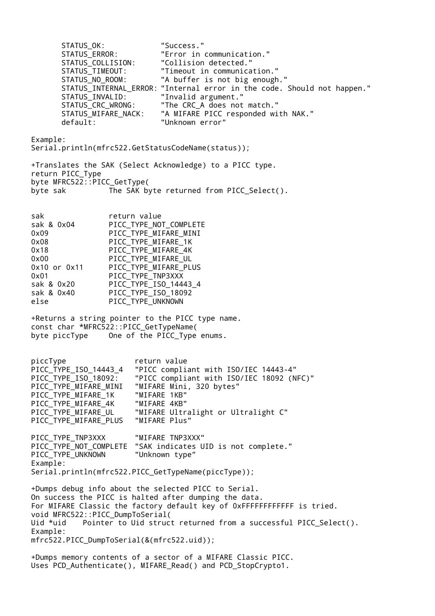STATUS OK: "Success." STATUS\_ERROR: "Error in communication." STATUS\_COLLISION: "Collision detected." STATUS\_TIMEOUT: "Timeout in communication." STATUS NO ROOM: "A buffer is not big enough." STATUS\_INTERNAL\_ERROR: "Internal error in the code. Should not happen." STATUS\_INVALID: "Invalid argument." STATUS\_CRC\_WRONG: "The CRC\_A does not match." STATUS\_MIFARE\_NACK: "A MIFARE PICC responded with NAK." default: "Unknown error" Example: Serial.println(mfrc522.GetStatusCodeName(status)); +Translates the SAK (Select Acknowledge) to a PICC type. return PICC\_Type byte MFRC522::PICC\_GetType( byte sak The SAK byte returned from PICC Select(). sak return value sak & 0x04 PICC TYPE NOT COMPLETE 0x09 PICC\_TYPE\_MIFARE\_MINI 0x08 PICC\_TYPE\_MIFARE\_1K 0x18 PICC\_TYPE\_MIFARE\_4K 0x00 PICC\_TYPE\_MIFARE\_UL 0x10 or 0x11 PICC\_TYPE\_MIFARE\_PLUS 0x01 PICC\_TYPE\_TNP3XXX sak & 0x20 PICC\_TYPE\_ISO\_14443\_4 sak & 0x40 PICC TYPE ISO 18092 else PICC TYPE UNKNOWN +Returns a string pointer to the PICC type name. const char \*MFRC522::PICC\_GetTypeName( byte piccType One of the PICC\_Type enums. piccType **return** value PICC\_TYPE\_ISO\_14443\_4 "PICC compliant with ISO/IEC 14443-4" PICC\_TYPE\_ISO\_18092: "PICC compliant with ISO/IEC 18092 (NFC)" PICC\_TYPE\_MIFARE\_MINI "MIFARE Mini, 320 bytes"<br>PICC\_TYPE\_MIFARE\_1K "MIFARE 1KB" PICC\_TYPE\_MIFARE\_1K PICC\_TYPE\_MIFARE\_4K "MIFARE 4KB" PICC\_TYPE\_MIFARE\_UL "MIFARE Ultralight or Ultralight C" PICC TYPE MIFARE PLUS "MIFARE Plus" PICC TYPE TNP3XXX "MIFARE TNP3XXX" PICC TYPE NOT COMPLETE "SAK indicates UID is not complete." PICC\_TYPE\_UNKNOWN "Unknown type" Example: Serial.println(mfrc522.PICC\_GetTypeName(piccType)); +Dumps debug info about the selected PICC to Serial. On success the PICC is halted after dumping the data. For MIFARE Classic the factory default key of 0xFFFFFFFFFFFF is tried. void MFRC522::PICC\_DumpToSerial( Uid \*uid Pointer to Uid struct returned from a successful PICC Select(). Example: mfrc522.PICC\_DumpToSerial(&(mfrc522.uid)); +Dumps memory contents of a sector of a MIFARE Classic PICC. Uses PCD\_Authenticate(), MIFARE\_Read() and PCD\_StopCrypto1.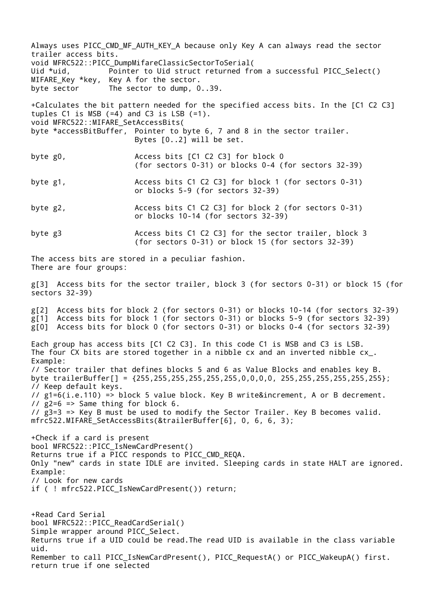Always uses PICC\_CMD\_MF\_AUTH\_KEY\_A because only Key A can always read the sector trailer access bits. void MFRC522::PICC\_DumpMifareClassicSectorToSerial( Uid \*uid, Pointer to Uid struct returned from a successful PICC Select() MIFARE\_Key \*key, Key A for the sector. byte sector The sector to dump, 0..39. +Calculates the bit pattern needed for the specified access bits. In the [C1 C2 C3] tuples C1 is MSB  $(=4)$  and C3 is LSB  $(=1)$ . void MFRC522::MIFARE\_SetAccessBits( byte \*accessBitBuffer, Pointer to byte 6, 7 and 8 in the sector trailer. Bytes [0..2] will be set. byte g0,  $\angle$  Access bits [C1 C2 C3] for block 0 (for sectors 0-31) or blocks 0-4 (for sectors 32-39) byte g1,  $\sim$  Access bits C1 C2 C3] for block 1 (for sectors 0-31) or blocks 5-9 (for sectors 32-39) byte g2,  $\sim$  Access bits C1 C2 C3] for block 2 (for sectors 0-31) or blocks 10-14 (for sectors 32-39) byte g3 6 Access bits C1 C2 C3] for the sector trailer, block 3 (for sectors 0-31) or block 15 (for sectors 32-39) The access bits are stored in a peculiar fashion. There are four groups: g[3] Access bits for the sector trailer, block 3 (for sectors 0-31) or block 15 (for sectors 32-39) g[2] Access bits for block 2 (for sectors 0-31) or blocks 10-14 (for sectors 32-39)  $g[1]$  Access bits for block 1 (for sectors 0-31) or blocks 5-9 (for sectors 32-39) g[0] Access bits for block 0 (for sectors 0-31) or blocks 0-4 (for sectors 32-39) Each group has access bits [C1 C2 C3]. In this code C1 is MSB and C3 is LSB. The four CX bits are stored together in a nibble cx and an inverted nibble cx\_. Example: // Sector trailer that defines blocks 5 and 6 as Value Blocks and enables key B. byte trailerBuffer[] = {255,255,255,255,255,255,0,0,0,0, 255,255,255,255,255,255}; // Keep default keys. // g1=6(i.e.110) => block 5 value block. Key B write&increment, A or B decrement.  $\frac{1}{2}$  g2=6 => Same thing for block 6. // g3=3 => Key B must be used to modify the Sector Trailer. Key B becomes valid. mfrc522.MIFARE\_SetAccessBits(&trailerBuffer[6], 0, 6, 6, 3); +Check if a card is present bool MFRC522::PICC\_IsNewCardPresent() Returns true if a PICC responds to PICC CMD REQA. Only "new" cards in state IDLE are invited. Sleeping cards in state HALT are ignored. Example: // Look for new cards if ( ! mfrc522.PICC\_IsNewCardPresent()) return; +Read Card Serial bool MFRC522::PICC\_ReadCardSerial() Simple wrapper around PICC Select. Returns true if a UID could be read.The read UID is available in the class variable uid. Remember to call PICC\_IsNewCardPresent(), PICC\_RequestA() or PICC\_WakeupA() first. return true if one selected